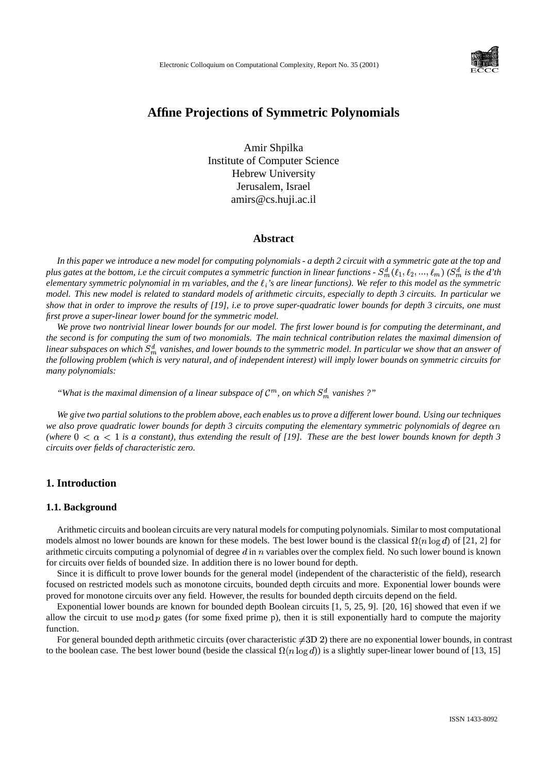

# **Affine Projections of Symmetric Polynomials**

Amir Shpilka Institute of Computer Science Hebrew University Jerusalem, Israel amirs@cs.huji.ac.il

#### **Abstract**

In this paper we introduce a new model for computing polynomials - a depth 2 circuit with a symmetric gate at the top and plus gates at the bottom, i.e the circuit computes a symmetric function in linear functions -  $S_{m}^{d}(\ell_1,\ell_2,...,\ell_m)$  ( $S_{m}^{d}$  is the  $d$ 'th elementary symmetric polynomial in m variables, and the  $\ell_i$ 's are linear functions). We refer to this model as the symmetric model. This new model is related to standard models of arithmetic circuits, especially to depth 3 circuits. In particular we show that in order to improve the results of [19], i.e to prove super-quadratic lower bounds for depth 3 circuits, one must *first prove a super-linear lower bound for the symmetric model.*

We prove two nontrivial linear lower bounds for our model. The first lower bound is for computing the determinant, and the second is for computing the sum of two monomials. The main technical contribution relates the maximal dimension of linear subspaces on which  $S_m^d$  vanishes, and lower bounds to the symmetric model. In particular we show that an answer of the following problem (which is very natural, and of independent interest) will imply lower bounds on symmetric circuits for *many polynomials:*

"What is the maximal dimension of a linear subspace of  $\mathcal{C}^m$ , on which  $S_m^d$  vanishes ?"

We give two partial solutions to the problem above, each enables us to prove a different lower bound. Using our techniques we also prove quadratic lower bounds for depth 3 circuits computing the elementary symmetric polynomials of degree on (where  $0 < \alpha < 1$  is a constant), thus extending the result of [19]. These are the best lower bounds known for depth 3 *circuits over fields of characteristic zero.*

# **1. Introduction**

## **1.1. Background**

Arithmetic circuits and boolean circuits are very natural modelsfor computing polynomials. Similar to most computational models almost no lower bounds are known for these models. The best lower bound is the classical  $\Omega(n \log d)$  of [21, 2] for arithmetic circuits computing a polynomial of degree  $d$  in  $n$  variables over the complex field. No such lower bound is known for circuits over fields of bounded size. In addition there is no lower bound for depth.

Since it is difficult to prove lower bounds for the general model (independent of the characteristic of the field), research focused on restricted models such as monotone circuits, bounded depth circuits and more. Exponential lower bounds were proved for monotone circuits over any field. However, the results for bounded depth circuits depend on the field.

Exponential lower bounds are known for bounded depth Boolean circuits [1, 5, 25, 9]. [20, 16] showed that even if we allow the circuit to use  $mod\ p$  gates (for some fixed prime p), then it is still exponentially hard to compute the majority function.

For general bounded depth arithmetic circuits (over characteristic  $\neq$ 3D 2) there are no exponential lower bounds, in contrast to the boolean case. The best lower bound (beside the classical  $\Omega(n \log d)$ ) is a slightly super-linear lower bound of [13, 15]